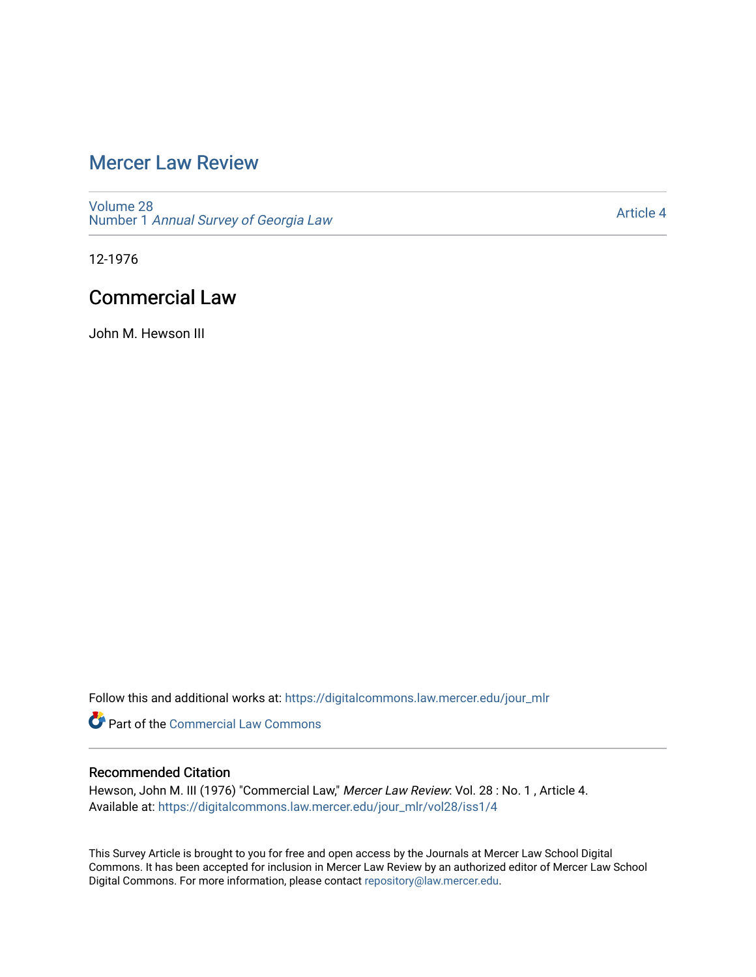## [Mercer Law Review](https://digitalcommons.law.mercer.edu/jour_mlr)

[Volume 28](https://digitalcommons.law.mercer.edu/jour_mlr/vol28) Number 1 [Annual Survey of Georgia Law](https://digitalcommons.law.mercer.edu/jour_mlr/vol28/iss1) 

[Article 4](https://digitalcommons.law.mercer.edu/jour_mlr/vol28/iss1/4) 

12-1976

## Commercial Law

John M. Hewson III

Follow this and additional works at: [https://digitalcommons.law.mercer.edu/jour\\_mlr](https://digitalcommons.law.mercer.edu/jour_mlr?utm_source=digitalcommons.law.mercer.edu%2Fjour_mlr%2Fvol28%2Fiss1%2F4&utm_medium=PDF&utm_campaign=PDFCoverPages)

**Part of the [Commercial Law Commons](http://network.bepress.com/hgg/discipline/586?utm_source=digitalcommons.law.mercer.edu%2Fjour_mlr%2Fvol28%2Fiss1%2F4&utm_medium=PDF&utm_campaign=PDFCoverPages)** 

### Recommended Citation

Hewson, John M. III (1976) "Commercial Law," Mercer Law Review: Vol. 28 : No. 1 , Article 4. Available at: [https://digitalcommons.law.mercer.edu/jour\\_mlr/vol28/iss1/4](https://digitalcommons.law.mercer.edu/jour_mlr/vol28/iss1/4?utm_source=digitalcommons.law.mercer.edu%2Fjour_mlr%2Fvol28%2Fiss1%2F4&utm_medium=PDF&utm_campaign=PDFCoverPages)

This Survey Article is brought to you for free and open access by the Journals at Mercer Law School Digital Commons. It has been accepted for inclusion in Mercer Law Review by an authorized editor of Mercer Law School Digital Commons. For more information, please contact [repository@law.mercer.edu](mailto:repository@law.mercer.edu).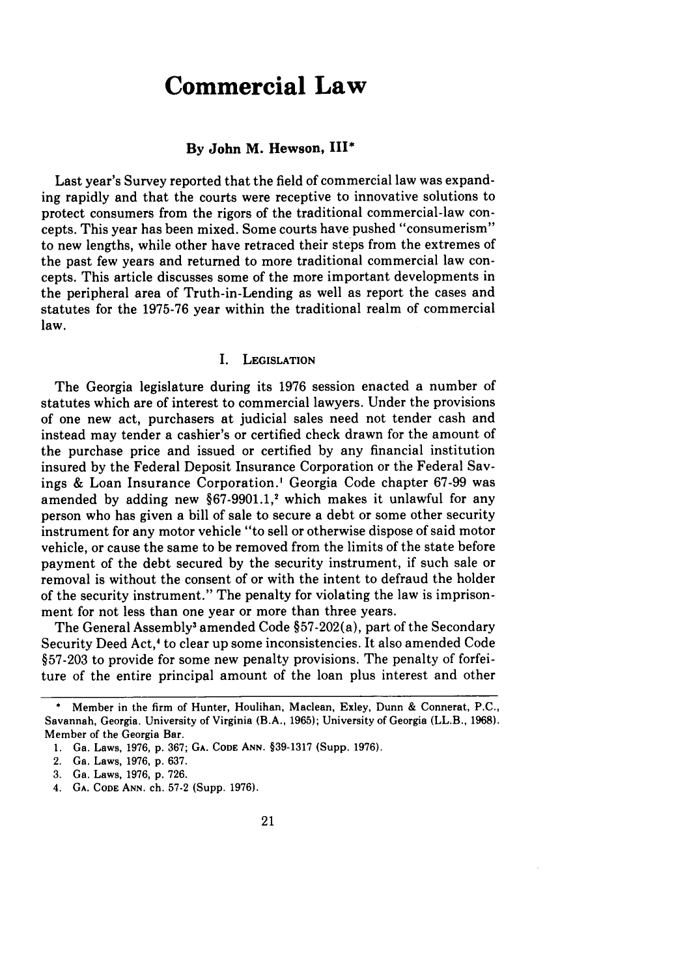# **Commercial Law**

#### **By John M. Hewson, III\***

Last year's Survey reported that the field of commercial law was expanding rapidly and that the courts were receptive to innovative solutions to protect consumers from the rigors of the traditional commercial-law concepts. This year has been mixed. Some courts have pushed "consumerism" to new lengths, while other have retraced their steps from the extremes of the past few years and returned to more traditional commercial law concepts. This article discusses some of the more important developments in the peripheral area of Truth-in-Lending as well as report the cases and statutes for the **1975-76** year within the traditional realm of commercial law.

#### **I. LEGISLATION**

The Georgia legislature during its **1976** session enacted a number of statutes which are of interest to commercial lawyers. Under the provisions of one new act, purchasers at judicial sales need not tender cash and instead may tender a cashier's or certified check drawn for the amount of the purchase price and issued or certified **by** any financial institution insured **by** the Federal Deposit Insurance Corporation or the Federal Savings **&** Loan Insurance Corporation.' Georgia Code chapter **67-99** was amended by adding new §67-9901.1,<sup>2</sup> which makes it unlawful for any person who has given a bill of sale to secure a debt or some other security instrument for any motor vehicle "to sell or otherwise dispose of said motor vehicle, or cause the same to be removed from the limits of the state before payment of the debt secured **by** the security instrument, if such sale or removal is without the consent of or with the intent to defraud the holder of the security instrument." The penalty for violating the law is imprisonment for not less than one year or more than three years.

The General Assembly<sup>3</sup> amended Code §57-202(a), part of the Secondary Security Deed Act,' to clear up some inconsistencies. It also amended Code §57-203 to provide for some new penalty provisions. The penalty of forfeiture of the entire principal amount of the loan plus interest and other

4. GA. **CODE ANN.** ch. 57-2 (Supp. 1976).

Member in the firm of Hunter, Houlihan, Maclean, Exley, Dunn & Connerat, P.C., Savannah, Georgia. University of Virginia (B.A., 1965); University of Georgia (LL.B., 1968). Member of the Georgia Bar.

<sup>1.</sup> Ga. Laws, 1976, p. 367; GA. **CODE ANN.** §39-1317 (Supp. 1976).

<sup>2.</sup> Ga. Laws, 1976, p. 637.

<sup>3.</sup> Ga. Laws, 1976, p. 726.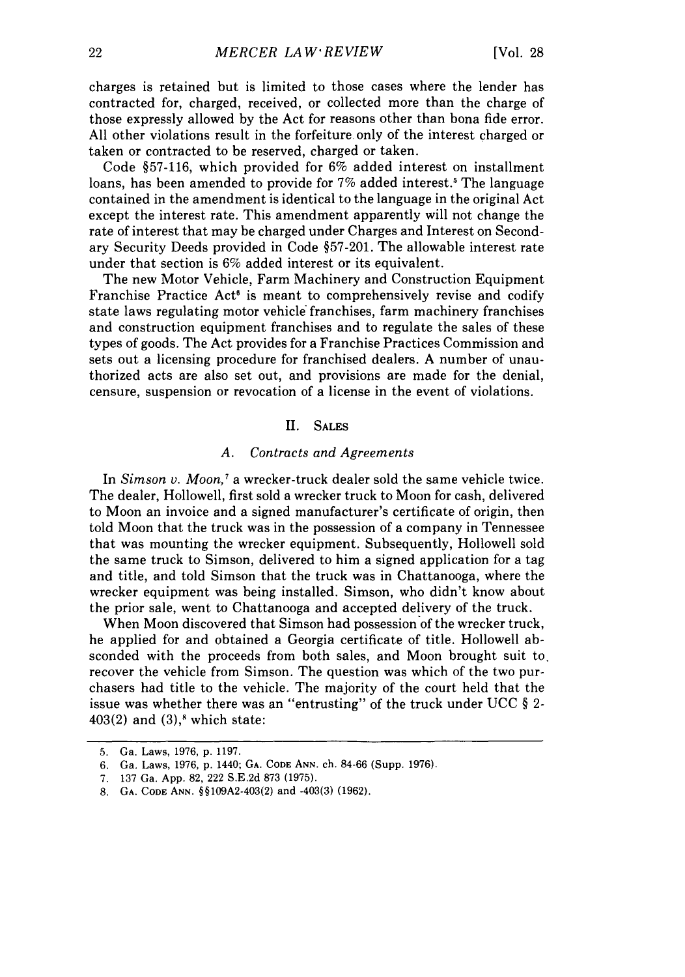charges is retained but is limited to those cases where the lender has contracted for, charged, received, or collected more than the charge of those expressly allowed by the Act for reasons other than bona fide error. All other violations result in the forfeiture only of the interest charged or taken or contracted to be reserved, charged or taken.

Code §57-116, which provided for 6% added interest on installment loans, has been amended to provide for 7% added interest.<sup>5</sup> The language contained in the amendment is identical to the language in the original Act except the interest rate. This amendment apparently will not change the rate of interest that may be charged under Charges and Interest on Secondary Security Deeds provided in Code §57-201. The allowable interest rate under that section is 6% added interest or its equivalent.

The new Motor Vehicle, Farm Machinery and Construction Equipment Franchise Practice Act<sup>®</sup> is meant to comprehensively revise and codify state laws regulating motor vehicle franchises, farm machinery franchises and construction equipment franchises and to regulate the sales of these types of goods. The Act provides for a Franchise Practices Commission and sets out a licensing procedure for franchised dealers. A number of unauthorized acts are also set out, and provisions are made for the denial, censure, suspension or revocation of a license in the event of violations.

#### II. SALES

#### *A. Contracts and Agreements*

In *Simson v. Moon*,<sup>7</sup> a wrecker-truck dealer sold the same vehicle twice. The dealer, Hollowell, first sold a wrecker truck to Moon for cash, delivered to Moon an invoice and a signed manufacturer's certificate of origin, then told Moon that the truck was in the possession of a company in Tennessee that was mounting the wrecker equipment. Subsequently, Hollowell sold the same truck to Simson, delivered to him a signed application for a tag and title, and told Simson that the truck was in Chattanooga, where the wrecker equipment was being installed. Simson, who didn't know about the prior sale, went to Chattanooga and accepted delivery of the truck.

When Moon discovered that Simson had possession of the wrecker truck, he applied for and obtained a Georgia certificate of title. Hollowell absconded with the proceeds from both sales, and Moon brought suit to. recover the vehicle from Simson. The question was which of the two purchasers had title to the vehicle. The majority of the court held that the issue was whether there was an "entrusting" of the truck under UCC  $\S$  2- $403(2)$  and  $(3)$ ,<sup>8</sup> which state:

<sup>5.</sup> Ga. Laws, 1976, p. 1197.

<sup>6.</sup> Ga. Laws, 1976, p. 1440; **GA. CODE ANN.** ch. 84-66 (Supp. 1976).

<sup>7.</sup> 137 Ga. App. 82, 222 S.E.2d 873 (1975).

<sup>8.</sup> GA. CODE ANN. §§109A2-403(2) and -403(3) (1962).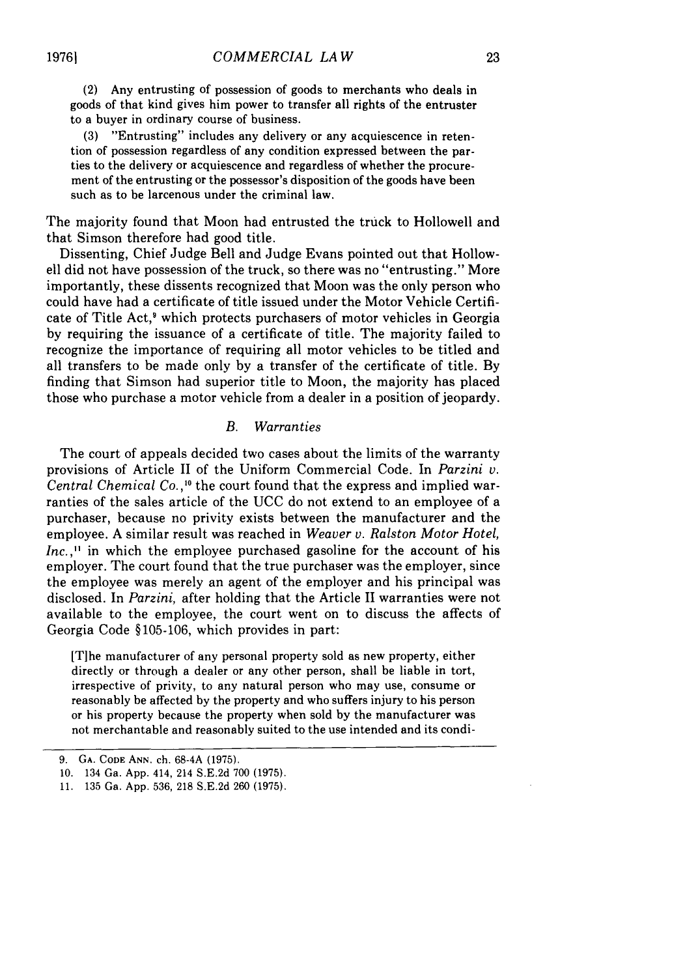(2) Any entrusting of possession of goods to merchants who deals in goods of that kind gives him power to transfer all rights of the entruster to a buyer in ordinary course of business.

(3) "Entrusting" includes any delivery or any acquiescence in retention of possession regardless of any condition expressed between the parties to the delivery or acquiescence and regardless of whether the procurement of the entrusting or the possessor's disposition of the goods have been such as to be larcenous under the criminal law.

The majority found that Moon had entrusted the truck to Hollowell and that Simson therefore had good title.

Dissenting, Chief Judge Bell and Judge Evans pointed out that Hollowell did not have possession of the truck, so there was no "entrusting." More importantly, these dissents recognized that Moon was the only person who could have had a certificate of title issued under the Motor Vehicle Certificate of Title Act,<sup>9</sup> which protects purchasers of motor vehicles in Georgia by requiring the issuance of a certificate of title. The majority failed to recognize the importance of requiring all motor vehicles to be titled and all transfers to be made only by a transfer of the certificate of title. By finding that Simson had superior title to Moon, the majority has placed those who purchase a motor vehicle from a dealer in a position of jeopardy.

#### *B. Warranties*

The court of appeals decided two cases about the limits of the warranty provisions of Article II of the Uniform Commercial Code. In *Parzini v. Central Chemical Co.,"0* the court found that the express and implied warranties of the sales article of the UCC do not extend to an employee of a purchaser, because no privity exists between the manufacturer and the employee. A similar result was reached in *Weaver v. Ralston Motor Hotel, Inc.*<sup>11</sup> in which the employee purchased gasoline for the account of his employer. The court found that the true purchaser was the employer, since the employee was merely an agent of the employer and his principal was disclosed. In *Parzini,* after holding that the Article II warranties were not available to the employee, the court went on to discuss the affects of Georgia Code **§105-106,** which provides in part:

[T]he manufacturer of any personal property sold as new property, either directly or through a dealer or any other person, shall be liable in tort, irrespective of privity, to any natural person who may use, consume or reasonably be affected by the property and who suffers injury to his person or his property because the property when sold by the manufacturer was not merchantable and reasonably suited to the use intended and its condi-

<sup>9.</sup> **GA. CODE ANN.** ch. 68-4A (1975).

<sup>10. 134</sup> Ga. App. 414, 214 S.E.2d 700 (1975).

<sup>11. 135</sup> Ga. App. 536, 218 S.E.2d 260 (1975).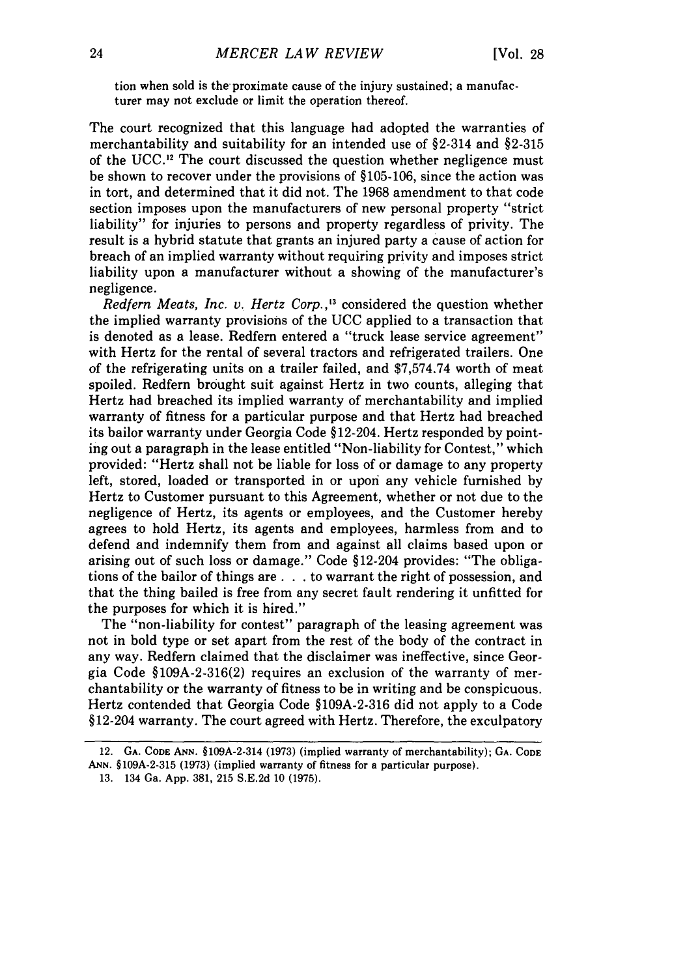tion when sold is the proximate cause of the injury sustained; a manufacturer may not exclude or limit the operation thereof.

The court recognized that this language had adopted the warranties of merchantability and suitability for an intended use of §2-314 and §2-315 of the UCC.<sup>12</sup> The court discussed the question whether negligence must be shown to recover under the provisions of §105-106, since the action was in tort, and determined that it did not. The 1968 amendment to that code section imposes upon the manufacturers of new personal property "strict liability" for injuries to persons and property regardless of privity. The result is a hybrid statute that grants an injured party a cause of action for breach of an implied warranty without requiring privity and imposes strict liability upon a manufacturer without a showing of the manufacturer's negligence.

*Redfern Meats, Inc. v. Hertz Corp.,"3* considered the question whether the implied warranty provisions of the UCC applied to a transaction that is denoted as a lease. Redfern entered a "truck lease service agreement" with Hertz for the rental of several tractors and refrigerated trailers. One of the refrigerating units on a trailer failed, and \$7,574.74 worth of meat spoiled. Redfern brought suit against Hertz in two counts, alleging that Hertz had breached its implied warranty of merchantability and implied warranty of fitness for a particular purpose and that Hertz had breached its bailor warranty under Georgia Code §12-204. Hertz responded by pointing out a paragraph in the lease entitled "Non-liability for Contest," which provided: "Hertz shall not be liable for loss of or damage to any property left, stored, loaded or transported in or upon any vehicle furnished by Hertz to Customer pursuant to this Agreement, whether or not due to the negligence of Hertz, its agents or employees, and the Customer hereby agrees to hold Hertz, its agents and employees, harmless from and to defend and indemnify them from and against all claims based upon or arising out of such loss or damage." Code §12-204 provides: "The obligations of the bailor of things are **. . .** to warrant the right of possession, and that the thing bailed is free from any secret fault rendering it unfitted for the purposes for which it is hired."

The "non-liability for contest" paragraph of the leasing agreement was not in bold type or set apart from the rest of the body of the contract in any way. Redfern claimed that the disclaimer was ineffective, since Georgia Code §109A-2-316(2) requires an exclusion of the warranty of merchantability or the warranty of fitness to be in writing and be conspicuous. Hertz contended that Georgia Code §109A-2-316 did not apply to a Code §12-204 warranty. The court agreed with Hertz. Therefore, the exculpatory

<sup>12.</sup> **GA. CODE ANN.** §109A-2-314 (1973) (implied warranty of merchantability); **GA. CODE ANN. §109A-2-315 (1973)** (implied warranty of fitness for a particular purpose).

<sup>13. 134</sup> Ga. App. 381, 215 **S.E.2d** 10 (1975).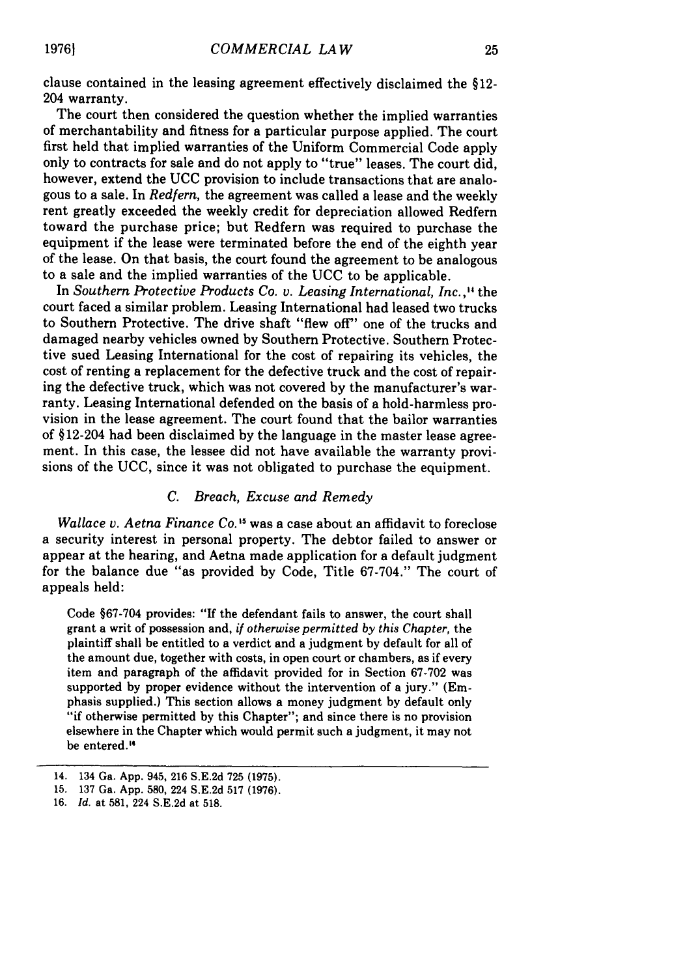clause contained in the leasing agreement effectively disclaimed the §12- 204 warranty.

The court then considered the question whether the implied warranties of merchantability and fitness for a particular purpose applied. The court first held that implied warranties of the Uniform Commercial Code apply only to contracts for sale and do not apply to "true" leases. The court did, however, extend the UCC provision to include transactions that are analogous to a sale. In *Redfern,* the agreement was called a lease and the weekly rent greatly exceeded the weekly credit for depreciation allowed Redfern toward the purchase price; but Redfern was required to purchase the equipment if the lease were terminated before the end of the eighth year of the lease. On that basis, the court found the agreement to be analogous to a sale and the implied warranties of the UCC to be applicable.

In *Southern Protective Products Co. v. Leasing International, Inc.,"* the court faced a similar problem. Leasing International had leased two trucks to Southern Protective. The drive shaft "flew off" one of the trucks and damaged nearby vehicles owned by Southern Protective. Southern Protective sued Leasing International for the cost of repairing its vehicles, the cost of renting a replacement for the defective truck and the cost of repairing the defective truck, which was not covered by the manufacturer's warranty. Leasing International defended on the basis of a hold-harmless provision in the lease agreement. The court found that the bailor warranties of § 12-204 had been disclaimed by the language in the master lease agreement. In this case, the lessee did not have available the warranty provisions of the UCC, since it was not obligated to purchase the equipment.

#### *C. Breach, Excuse and Remedy*

*Wallace v. Aetna Finance Co.*<sup>15</sup> was a case about an affidavit to foreclose a security interest in personal property. The debtor failed to answer or appear at the hearing, and Aetna made application for a default judgment for the balance due "as provided by Code, Title 67-704." The court of appeals held:

Code §67-704 provides: "If the defendant fails to answer, the court shall grant a writ of possession and, *if otherwise permitted by this Chapter,* the plaintiff shall be entitled to a verdict and a judgment by default for all of the amount due, together with costs, in open court or chambers, as if every item and paragraph of the affidavit provided for in Section 67-702 was supported by proper evidence without the intervention of a jury." (Emphasis supplied.) This section allows a money judgment by default only "if otherwise permitted by this Chapter"; and since there is no provision elsewhere in the Chapter which would permit such a judgment, it may not be entered."

**19761**

<sup>14. 134</sup> Ga. **App.** 945, **216 S.E.2d 725 (1975).**

**<sup>15. 137</sup>** Ga. **App. 580,** 224 **S.E.2d 517 (1976).**

**<sup>16.</sup>** *Id.* at **581,** 224 **S.E.2d** at **518.**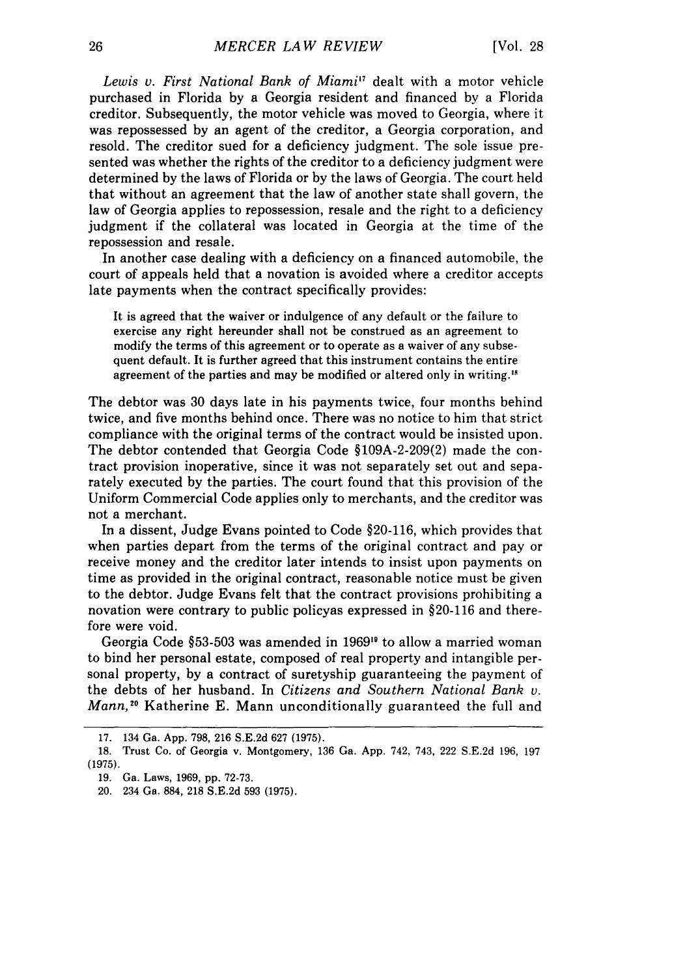Lewis v. First National Bank of Miami<sup>17</sup> dealt with a motor vehicle purchased in Florida by a Georgia resident and financed by a Florida creditor. Subsequently, the motor vehicle was moved to Georgia, where it was repossessed by an agent of the creditor, a Georgia corporation, and resold. The creditor sued for a deficiency judgment. The sole issue presented was whether the rights of the creditor to a deficiency judgment were determined by the laws of Florida or by the laws of Georgia. The court held that without an agreement that the law of another state shall govern, the law of Georgia applies to repossession, resale and the right to a deficiency judgment if the collateral was located in Georgia at the time of the repossession and resale.

In another case dealing with a deficiency on a financed automobile, the court of appeals held that a novation is avoided where a creditor accepts late payments when the contract specifically provides:

It is agreed that the waiver or indulgence of any default or the failure to exercise any right hereunder shall not be construed as an agreement to modify the terms of this agreement or to operate as a waiver of any subsequent default. It is further agreed that this instrument contains the entire agreement of the parties and may be modified or altered only in writing."

The debtor was 30 days late in his payments twice, four months behind twice, and five months behind once. There was no notice to him that strict compliance with the original terms of the contract would be insisted upon. The debtor contended that Georgia Code §109A-2-209(2) made the contract provision inoperative, since it was not separately set out and separately executed by the parties. The court found that this provision of the Uniform Commercial Code applies only to merchants, and the creditor was not a merchant.

In a dissent, Judge Evans pointed to Code §20-116, which provides that when parties depart from the terms of the original contract and pay or receive money and the creditor later intends to insist upon payments on time as provided in the original contract, reasonable notice must be given to the debtor. Judge Evans felt that the contract provisions prohibiting a novation were contrary to public policyas expressed in §20-116 and therefore were void.

Georgia Code §53-503 was amended in 1969's to allow a married woman to bind her personal estate, composed of real property and intangible personal property, by a contract of suretyship guaranteeing the payment of the debts of her husband. In *Citizens and Southern National Bank v. Mann*,<sup>20</sup> Katherine E. Mann unconditionally guaranteed the full and

<sup>17. 134</sup> Ga. App. 798, 216 S.E.2d 627 (1975).

<sup>18.</sup> Trust Co. of Georgia v. Montgomery, 136 Ga. App. 742, 743, 222 S.E.2d 196, 197 (1975).

<sup>19.</sup> Ga. Laws, 1969, pp. 72-73.

<sup>20. 234</sup> Ga. 884, 218 S.E.2d 593 (1975).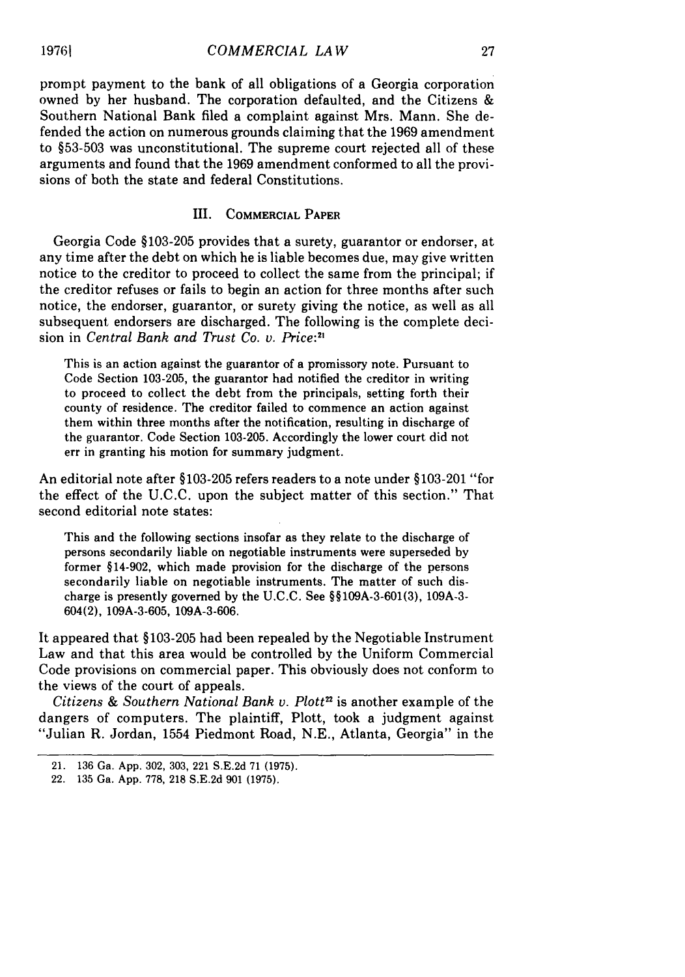prompt payment to the bank of all obligations of a Georgia corporation owned by her husband. The corporation defaulted, and the Citizens & Southern National Bank filed a complaint against Mrs. Mann. She defended the action on numerous grounds claiming that the 1969 amendment to §53-503 was unconstitutional. The supreme court rejected all of these arguments and found that the 1969 amendment conformed to all the provisions of both the state and federal Constitutions.

#### III. COMMERCIAL PAPER

Georgia Code §103-205 provides that a surety, guarantor or endorser, at any time after the debt on which he is liable becomes due, may give written notice to the creditor to proceed to collect the same from the principal; if the creditor refuses or fails to begin an action for three months after such notice, the endorser, guarantor, or surety giving the notice, as well as all subsequent endorsers are discharged. The following is the complete decision in *Central Bank and Trust Co. v. Price:2*

This is an action against the guarantor of a promissory note. Pursuant to Code Section 103-205, the guarantor had notified the creditor in writing to proceed to collect the debt from the principals, setting forth their county of residence. The creditor failed to commence an action against them within three months after the notification, resulting in discharge of the guarantor. Code Section 103-205. Accordingly the lower court did not err in granting his motion for summary judgment.

An editorial note after §103-205 refers readers to a note under §103-201 "for the effect of the U.C.C. upon the subject matter of this section." That second editorial note states:

This and the following sections insofar as they relate to the discharge of persons secondarily liable on negotiable instruments were superseded by former §14-902, which made provision for the discharge of the persons secondarily liable on negotiable instruments. The matter of such discharge is presently governed by the U.C.C. See §§109A-3-601(3), 109A-3- 604(2), 109A-3-605, 109A-3-606.

It appeared that §103-205 had been repealed by the Negotiable Instrument Law and that this area would be controlled by the Uniform Commercial Code provisions on commercial paper. This obviously does not conform to the views of the court of appeals.

*Citizens & Southern National Bank v. Plott"* is another example of the dangers of computers. The plaintiff, Plott, took a judgment against "Julian R. Jordan, 1554 Piedmont Road, N.E., Atlanta, Georgia" in the

**19761**

<sup>21. 136</sup> Ga. App. 302, 303, 221 S.E.2d 71 (1975).

<sup>22. 135</sup> Ga. App. 778, 218 S.E.2d 901 (1975).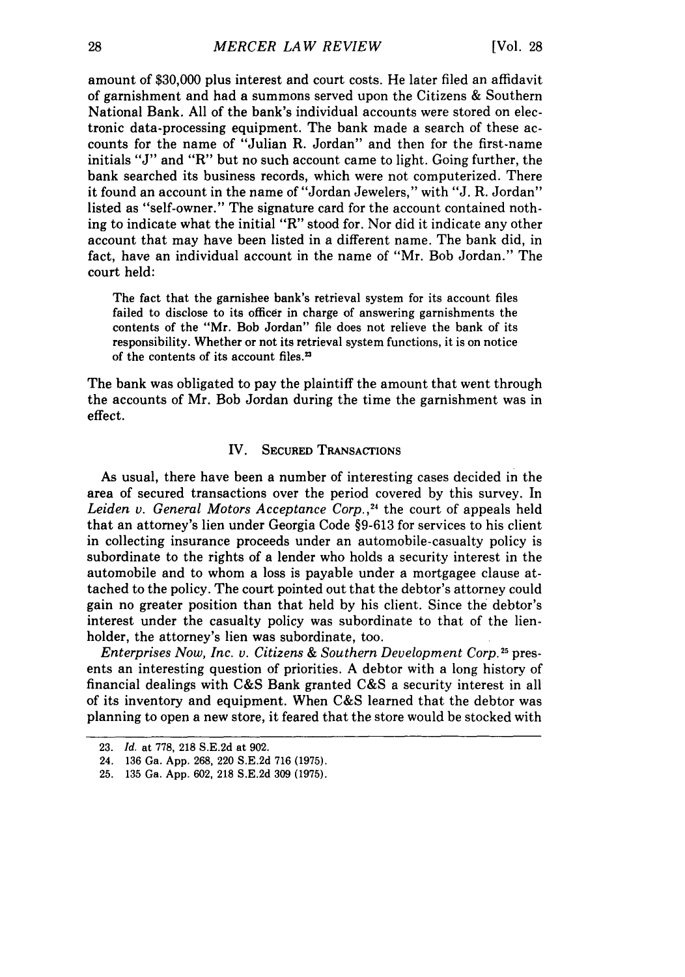amount of \$30,000 plus interest and court costs. He later filed an affidavit of garnishment and had a summons served upon the Citizens & Southern National Bank. All of the bank's individual accounts were stored on electronic data-processing equipment. The bank made a search of these accounts for the name of "Julian R. Jordan" and then for the first-name initials "J" and "R" but no such account came to light. Going further, the bank searched its business records, which were not computerized. There it found an account in the name of "Jordan Jewelers," with "J. R. Jordan" listed as "self-owner." The signature card for the account contained nothing to indicate what the initial "R" stood for. Nor did it indicate any other account that may have been listed in a different name. The bank did, in fact, have an individual account in the name of "Mr. Bob Jordan." The court held:

The fact that the garnishee bank's retrieval system for its account files failed to disclose to its officer in charge of answering garnishments the contents of the "Mr. Bob Jordan" file does not relieve the bank of its responsibility. Whether or not its retrieval system functions, it is on notice of the contents of its account files.<sup>23</sup>

The bank was obligated to pay the plaintiff the amount that went through the accounts of Mr. Bob Jordan during the time the garnishment was in effect.

#### IV. **SECURED** TRANSACTIONS

As usual, there have been a number of interesting cases decided in the area of secured transactions over the period covered by this survey. In *Leiden v. General Motors Acceptance Corp.,24* the court of appeals held that an attorney's lien under Georgia Code **§9-613** for services to his client in collecting insurance proceeds under an automobile-casualty policy is subordinate to the rights of a lender who holds a security interest in the automobile and to whom a loss is payable under a mortgagee clause attached to the policy. The court pointed out that the debtor's attorney could gain no greater position than that held by his client. Since the debtor's interest under the casualty policy was subordinate to that of the lienholder, the attorney's lien was subordinate, too.

*Enterprises Now, Inc. v. Citizens & Southern Development Corp.*<sup>25</sup> presents an interesting question of priorities. A debtor with a long history of financial dealings with C&S Bank granted C&S a security interest in all of its inventory and equipment. When C&S learned that the debtor was planning to open a new store, it feared that the store would be stocked with

<sup>23.</sup> *Id.* at 778, 218 S.E.2d at 902.

<sup>24. 136</sup> Ga. App. 268, 220 S.E.2d 716 (1975).

<sup>25. 135</sup> Ga. App. 602, 218 S.E.2d 309 (1975).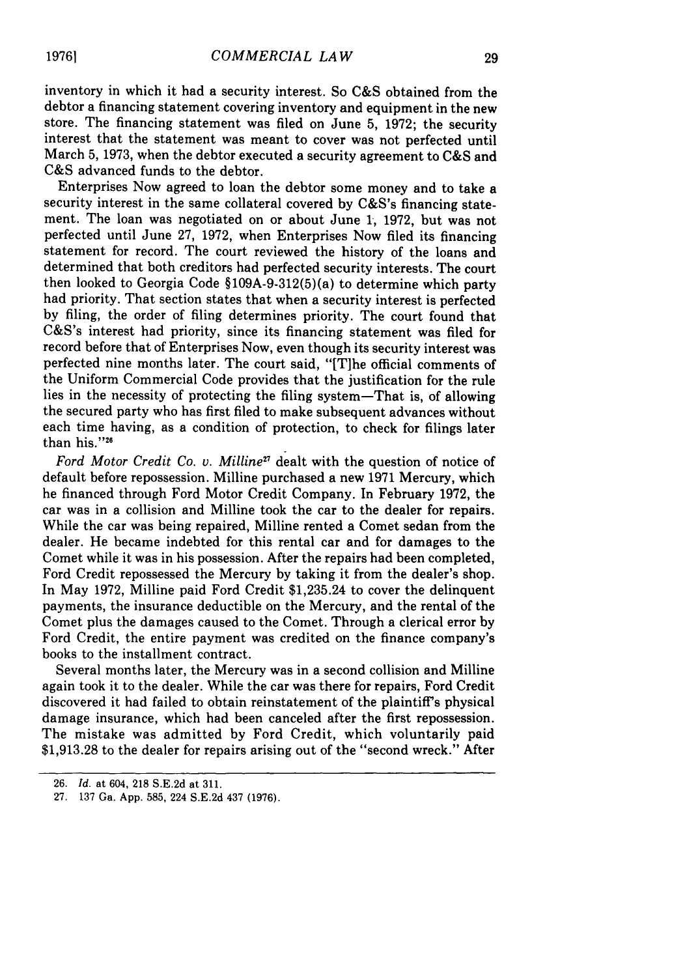inventory in which it had a security interest. So C&S obtained from the debtor a financing statement covering inventory and equipment in the new store. The financing statement was filed on June 5, 1972; the security interest that the statement was meant to cover was not perfected until March 5, 1973, when the debtor executed a security agreement to C&S and C&S advanced funds to the debtor.

Enterprises Now agreed to loan the debtor some money and to take a security interest in the same collateral covered by C&S's financing statement. The loan was negotiated on or about June 1, 1972, but was not perfected until June 27, 1972, when Enterprises Now filed its financing statement for record. The court reviewed the history of the loans and determined that both creditors had perfected security interests. The court then looked to Georgia Code §109A-9-312(5)(a) to determine which party had priority. That section states that when a security interest is perfected by filing, the order of filing determines priority. The court found that C&S's interest had priority, since its financing statement was filed for record before that of Enterprises Now, even though its security interest was perfected nine months later. The court said, "[Tihe official comments of the Uniform Commercial Code provides that the justification for the rule lies in the necessity of protecting the filing system-That is, of allowing the secured party who has first filed to make subsequent advances without each time having, as a condition of protection, to check for filings later than his. $"^{26}$ 

*Ford Motor Credit Co. v. Miline"* dealt with the question of notice of default before repossession. Milline purchased a new 1971 Mercury, which he financed through Ford Motor Credit Company. In February 1972, the car was in a collision and Milline took the car to the dealer for repairs. While the car was being repaired, Milline rented a Comet sedan from the dealer. He became indebted for this rental car and for damages to the Comet while it was in his possession. After the repairs had been completed, Ford Credit repossessed the Mercury by taking it from the dealer's shop. In May 1972, Milline paid Ford Credit \$1,235.24 to cover the delinquent payments, the insurance deductible on the Mercury, and the rental of the Comet plus the damages caused to the Comet. Through a clerical error by Ford Credit, the entire payment was credited on the finance company's books to the installment contract.

Several months later, the Mercury was in a second collision and Milline again took it to the dealer. While the car was there for repairs, Ford Credit discovered it had failed to obtain reinstatement of the plaintiff's physical damage insurance, which had been canceled after the first repossession. The mistake was admitted by Ford Credit, which voluntarily paid \$1,913.28 to the dealer for repairs arising out of the "second wreck." After

<sup>26.</sup> *Id.* at 604, 218 S.E.2d at 311.

<sup>27.</sup> 137 Ga. App. 585, 224 S.E.2d 437 (1976).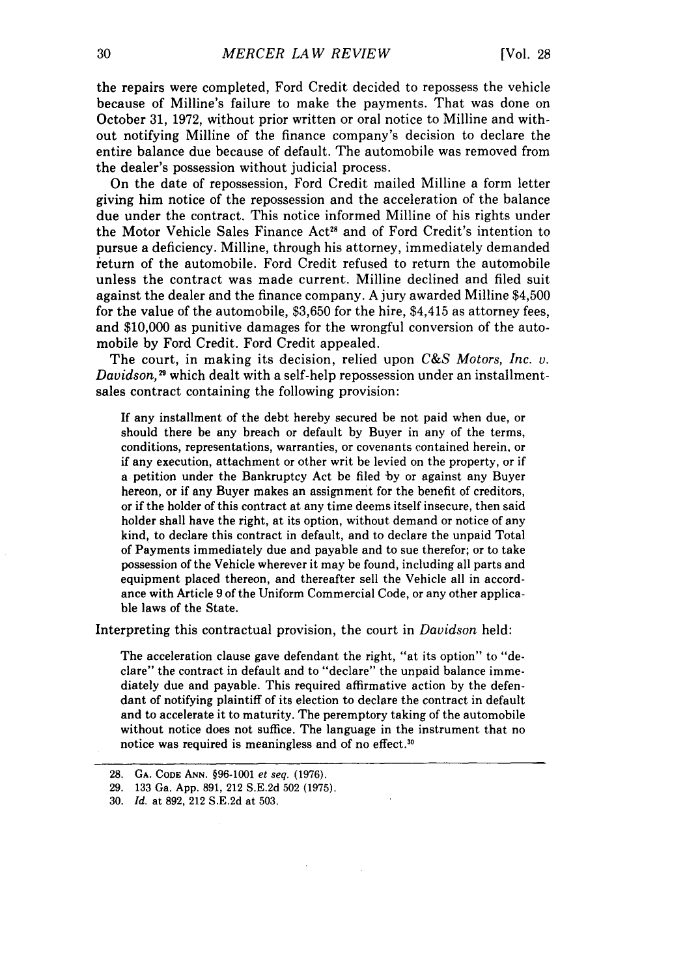the repairs were completed, Ford Credit decided to repossess the vehicle because of Milline's failure to make the payments. That was done on October 31, 1972, without prior written or oral notice to Milline and without notifying Milline of the finance company's decision to declare the entire balance due because of default. The automobile was removed from the dealer's possession without judicial process.

On the date of repossession, Ford Credit mailed Milline a form letter giving him notice of the repossession and the acceleration of the balance due under the contract. This notice informed Milline of his rights under the Motor Vehicle Sales Finance Act<sup>28</sup> and of Ford Credit's intention to pursue a deficiency. Milline, through his attorney, immediately demanded return of the automobile. Ford Credit refused to return the automobile unless the contract was made current. Milline declined and filed suit against the dealer and the finance company. A jury awarded Milline \$4,500 for the value of the automobile, \$3,650 for the hire, \$4,415 as attorney fees, and \$10,000 as punitive damages for the wrongful conversion of the automobile by Ford Credit. Ford Credit appealed.

The court, in making its decision, relied upon *C&S Motors, Inc. v. Davidson*,<sup>29</sup> which dealt with a self-help repossession under an installmentsales contract containing the following provision:

If any installment of the debt hereby secured be not paid when due, or should there be any breach or default by Buyer in any of the terms, conditions, representations, warranties, or covenants contained herein, or if any execution, attachment or other writ be levied on the property, or if a petition under the Bankruptcy Act be filed by or against any Buyer hereon, or if any Buyer makes an assignment for the benefit of creditors, or if the holder of this contract at any time deems itself insecure, then said holder shall have the right, at its option, without demand or notice of any kind, to declare this contract in default, and to declare the unpaid Total of Payments immediately due and payable and to sue therefor; or to take possession of the Vehicle wherever it may be found, including all parts and equipment placed thereon, and thereafter sell the Vehicle all in accordance with Article 9 of the Uniform Commercial Code, or any other applicable laws of the State.

Interpreting this contractual provision, the court in *Davidson* held:

The acceleration clause gave defendant the right, "at its option" to "declare" the contract in default and to "declare" the unpaid balance immediately due and payable. This required affirmative action by the defendant of notifying plaintiff of its election to declare the contract in default and to accelerate it to maturity. The peremptory taking of the automobile without notice does not suffice. The language in the instrument that no notice was required is meaningless and of no effect.<sup>30</sup>

<sup>28.</sup> **GA. CODE ANN.** §96-1001 et seq. (1976).

<sup>29. 133</sup> Ga. App. 891, 212 S.E.2d 502 (1975).

<sup>30.</sup> *Id.* at 892, 212 S.E.2d at 503.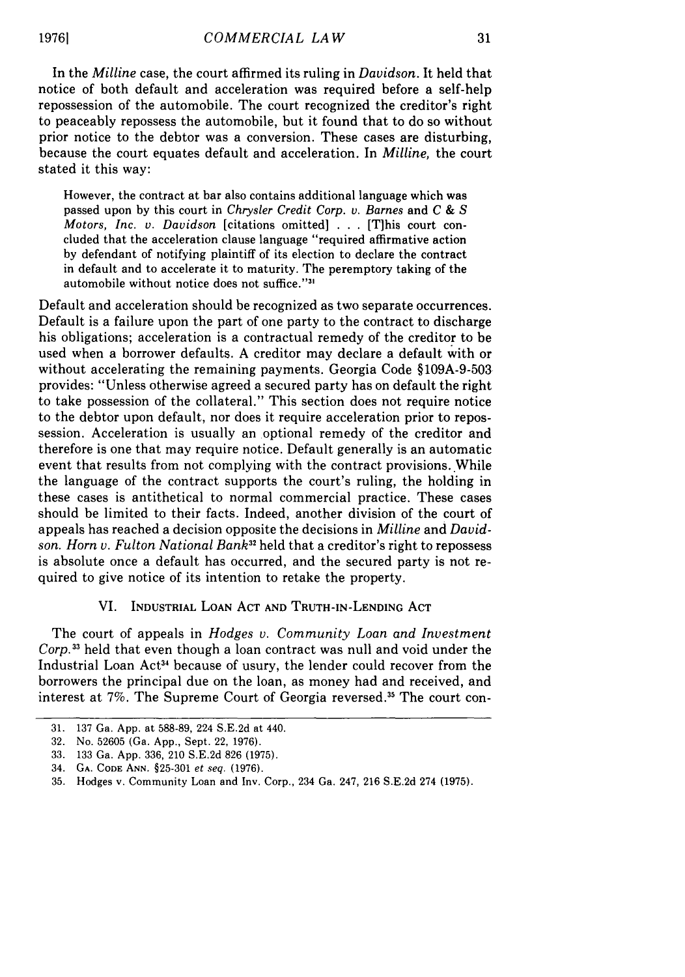In the *Milline* case, the court affirmed its ruling in *Davidson.* It held that notice of both default and acceleration was required before a self-help repossession of the automobile. The court recognized the creditor's right to peaceably repossess the automobile, but it found that to do so without prior notice to the debtor was a conversion. These cases are disturbing, because the court equates default and acceleration. In *Milline,* the court stated it this way:

However, the contract at bar also contains additional language which was passed upon by this court in *Chrysler Credit Corp. v. Barnes* and *C & S Motors, Inc. v. Davidson* [citations omitted] ... [Tihis court concluded that the acceleration clause language "required affirmative action by defendant of notifying plaintiff of its election to declare the contract in default and to accelerate it to maturity. The peremptory taking of the automobile without notice does not suffice."'

Default and acceleration should be recognized as two separate occurrences. Default is a failure upon the part of one party to the contract to discharge his obligations; acceleration is a contractual remedy of the creditor to be used when a borrower defaults. A creditor may declare a default with or without accelerating the remaining payments. Georgia Code §109A-9-503 provides: "Unless otherwise agreed a secured party has on default the right to take possession of the collateral." This section does not require notice to the debtor upon default, nor does it require acceleration prior to repossession. Acceleration is usually an optional remedy of the creditor and therefore is one that may require notice. Default generally is an automatic event that results from not complying with the contract provisions. While the language of the contract supports the court's ruling, the holding in these cases is antithetical to normal commercial practice. These cases should be limited to their facts. Indeed, another division of the court of appeals has reached a decision opposite the decisions in *Milline* and *Davidson. Horn v. Fulton National Bank32* held that a creditor's right to repossess is absolute once a default has occurred, and the secured party is not required to give notice of its intention to retake the property.

#### VI. **INDUSTRIAL LOAN ACT AND TRUTH-IN-LENDING ACT**

The court of appeals in *Hodges v. Community Loan and Investment Corp.13* held that even though a loan contract was null and void under the Industrial Loan Act<sup>34</sup> because of usury, the lender could recover from the borrowers the principal due on the loan, as money had and received, and interest at 7%. The Supreme Court of Georgia reversed.<sup>35</sup> The court con-

**<sup>31. 137</sup>** Ga. **App.** at **588-89,** 224 **S.E.2d** at 440.

**<sup>32.</sup>** No. **52605** (Ga. **App.,** Sept. 22, **1976).**

**<sup>33. 133</sup>** Ga. **App.** 336, 210 **S.E.2d 826 (1975).**

<sup>34.</sup> **GA. CODE ANN. §25-301** *et seq.* **(1976).**

**<sup>35.</sup>** Hodges v. Community Loan and Inv. Corp., 234 Ga. 247, **216 S.E.2d** 274 **(1975).**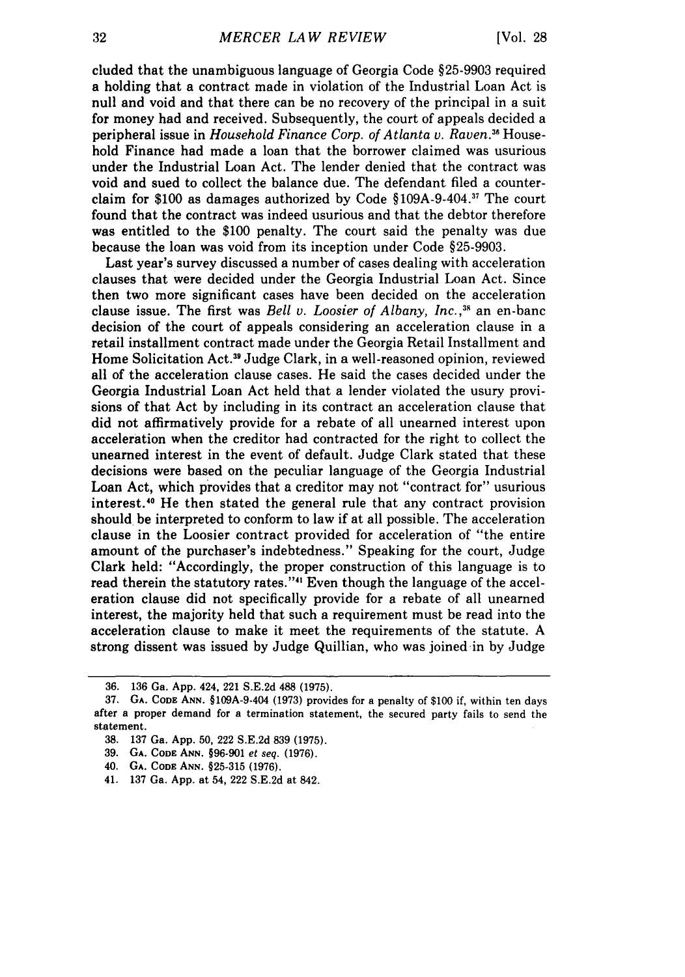cluded that the unambiguous language of Georgia Code §25-9903 required a holding that a contract made in violation of the Industrial Loan Act is null and void and that there can be no recovery of the principal in a suit for money had and received. Subsequently, the court of appeals decided a peripheral issue in *Household Finance Corp. of Atlanta v. Raven."* Household Finance had made a loan that the borrower claimed was usurious under the Industrial Loan Act. The lender denied that the contract was void and sued to collect the balance due. The defendant filed a counterclaim for \$100 as damages authorized by Code §109A-9-404.7 The court found that the contract was indeed usurious and that the debtor therefore was entitled to the \$100 penalty. The court said the penalty was due because the loan was void from its inception under Code §25-9903.

Last year's survey discussed a number of cases dealing with acceleration clauses that were decided under the Georgia Industrial Loan Act. Since then two more significant cases have been decided on the acceleration clause issue. The first was *Bell v. Loosier of Albany, Inc.* **, <sup>3</sup>**an en-banc decision of the court of appeals considering an acceleration clause in a retail installment contract made under the Georgia Retail Installment and Home Solicitation Act.39 Judge Clark, in a well-reasoned opinion, reviewed all of the acceleration clause cases. He said the cases decided under the Georgia Industrial Loan Act held that a lender violated the usury provisions of that Act by including in its contract an acceleration clause that did not affirmatively provide for a rebate of all unearned interest upon acceleration when the creditor had contracted for the right to collect the unearned interest in the event of default. Judge Clark stated that these decisions were based on the peculiar language of the Georgia Industrial Loan Act, which provides that a creditor may not "contract for" usurious interest.<sup>40</sup> He then stated the general rule that any contract provision should be interpreted to conform to law if at all possible. The acceleration clause in the Loosier contract provided for acceleration of "the entire amount of the purchaser's indebtedness." Speaking for the court, Judge Clark held: "Accordingly, the proper construction of this language is to read therein the statutory rates."<sup>41</sup> Even though the language of the acceleration clause did not specifically provide for a rebate of all unearned interest, the majority held that such a requirement must be read into the acceleration clause to make it meet the requirements of the statute. A strong dissent was issued by Judge Quillian, who was joined in by Judge

<sup>36. 136</sup> Ga. App. 424, 221 S.E.2d 488 (1975).

**<sup>37.</sup> GA. CODE ANN. §109A-9-404 (1973)** provides for a penalty of \$100 if, within ten days after a proper demand for a termination statement, the secured party fails to send the statement.

**<sup>38. 137</sup>** Ga. **App. 50,** 222 **S.E.2d 839 (1975).**

**<sup>39.</sup> GA. CODE ANN. §96-901** et seq. **(1976).**

**<sup>40.</sup> GA. CODE ANN. §25-315 (1976).**

<sup>41.</sup> **137** Ga. **App.** at 54, 222 **S.E.2d** at 842.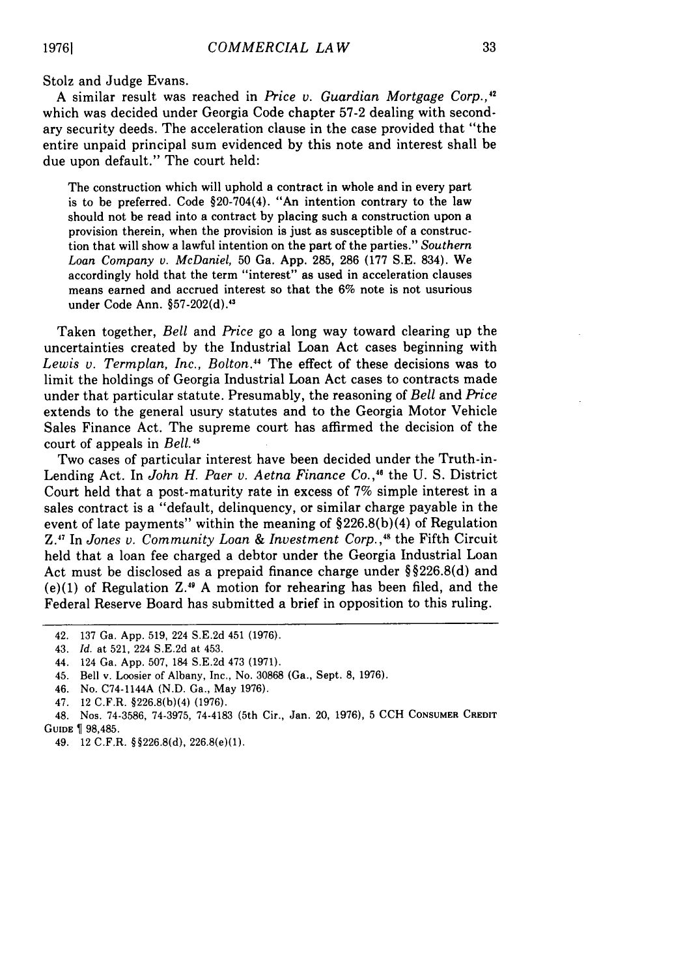Stolz and Judge Evans.

A similar result was reached in *Price v. Guardian Mortgage Corp.,4 "* which was decided under Georgia Code chapter 57-2 dealing with secondary security deeds. The acceleration clause in the case provided that "the entire unpaid principal sum evidenced by this note and interest shall be due upon default." The court held:

The construction which will uphold a contract in whole and in every part is to be preferred. Code §20-704(4). "An intention contrary to the law should not be read into a contract by placing such a construction upon a provision therein, when the provision is just as susceptible of a construction that will show a lawful intention on the part of the parties." *Southern Loan Company v. McDaniel,* 50 Ga. App. 285, 286 (177 S.E. 834). We accordingly hold that the term "interest" as used in acceleration clauses means earned and accrued interest so that the 6% note is not usurious under Code Ann. §57-202(d).<sup>43</sup>

Taken together, *Bell* and *Price* go a long way toward clearing up the uncertainties created by the Industrial Loan Act cases beginning with *Lewis v. Termplan, Inc., Bolton."* The effect of these decisions was to limit the holdings of Georgia Industrial Loan Act cases to contracts made under that particular statute. Presumably, the reasoning of *Bell* and *Price* extends to the general usury statutes and to the Georgia Motor Vehicle Sales Finance Act. The supreme court has affirmed the decision of the court of appeals in *Bell.4 "*

Two cases of particular interest have been decided under the Truth-in-Lending Act. In John H. Paer v. Aetna Finance Co.,<sup>46</sup> the U. S. District Court held that a post-maturity rate in excess of 7% simple interest in a sales contract is a "default, delinquency, or similar charge payable in the event of late payments" within the meaning of  $$226.8(b)(4)$  of Regulation Z.1' In *Jones v. Community Loan & Investment Corp.,'4* the Fifth Circuit held that a loan fee charged a debtor under the Georgia Industrial Loan Act must be disclosed as a prepaid finance charge under §§226.8(d) and  $(e)(1)$  of Regulation Z.<sup>49</sup> A motion for rehearing has been filed, and the Federal Reserve Board has submitted a brief in opposition to this ruling.

- 42. 137 Ga. App. 519, 224 S.E.2d 451 (1976).
- 43. *Id.* at 521, 224 S.E.2d at 453.
- 44. 124 Ga. App. 507, 184 S.E.2d 473 (1971).
- 45. Bell v. Loosier of Albany, Inc., No. 30868 (Ga., Sept. 8, 1976).
- 46. No. C74-1144A (N.D. Ga., May 1976).
- 47. 12 C.F.R. §226.8(b)(4) (1976).
- 48. Nos. 74-3586, 74-3975, 74-4183 (5th Cir., Jan. 20, 1976), 5 CCH **CONSUMER** CREDIT **GUIDE** 98,485.
	- 49. 12 C.F.R. §§226.8(d), 226.8(e)(1).